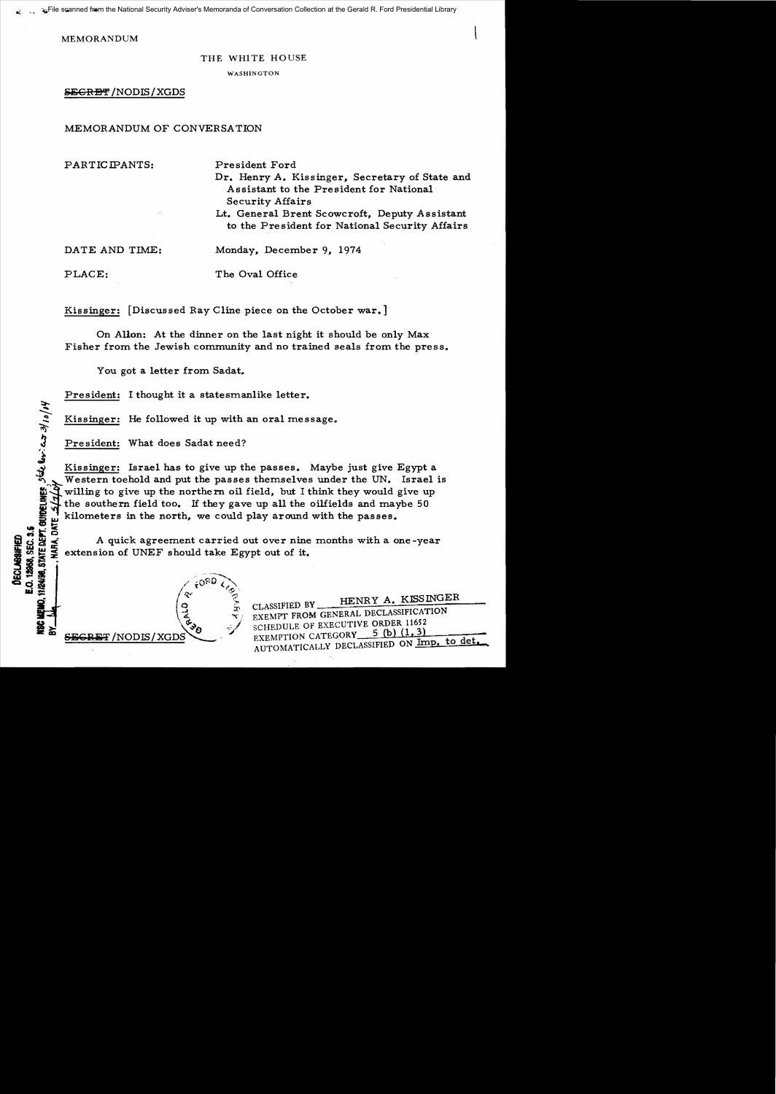MEMORANDUM

## THE WHITE HOUSE

WASHINGTON

President Ford

SEGRET / NODIS / XGDS

# MEMORANDUM OF CONVERSATION

PARTICIPANTS:

Dr. Henry A. Kissinger, Secretary of State and Assistant to the President for National Security Affairs

Lt. General Brent Scowcroft, Deputy Assistant to the Pre sident for National Security Affairs

DATE AND TIME:

Monday, December 9, 1974

PLACE:

}<br>ئى

Kissinger: [Discussed Ray Cline piece on the October war.]

On Allon: At the dinner on the last night it should be only Max Fisher from the Jewish community and no trained seals from the press.

The Oval Office

You got a letter from Sadat.

(

 $\frac{1}{2}$   $\frac{1}{2}$  $\sqrt{d}$ ,  $\sqrt{d}$ 

President: I thought it a statesmanlike letter.

Kissinger: He followed it up with an oral message.

President: What does Sadat need?

 $\overline{\bullet}$  or  $\overline{\bullet}$  is a set of  $\overline{\bullet}$  (in  $\overline{\bullet}$  ) and  $\overline{\bullet}$  (in  $\overline{\bullet}$  ) and  $\overline{\bullet}$  (in  $\overline{\bullet}$  ) and  $\overline{\bullet}$ **au::** I~" '~

 $\#$  /NODIS / XGD

Kissinger: Israel has to give up the passes. Maybe just give Egypt a Western toehold and put the passes themselves under the UN. Israel is willing to give up the northern oil field, but I think they would give up the southern field too. If they gave up all the oilfields and maybe 50 Fisher from the Jewish commut<br>
You got a letter from Sad<br>
President: I thought it a states<br>  $\frac{1}{2}$   $\frac{1}{2}$   $\frac{1}{2}$   $\frac{1}{2}$   $\frac{1}{2}$   $\frac{1}{2}$   $\frac{1}{2}$   $\frac{1}{2}$   $\frac{1}{2}$   $\frac{1}{2}$   $\frac{1}{2}$   $\frac{1}{2}$   $\frac{1}{2}$ 

if kilometers in the north, we could play around with the passes.<br>  $\frac{d}{dx}$  A quick agreement carried out over nine months with a o<br>  $\leq$  extension of UNEF should take Egypt out of it. **.. ...,:tc ..... 0** Figure 4 quick agreement carried out over nine months with a one-year in  $\frac{1}{2}$  extension of UNEF should take Egypt out of it.<br>  $\frac{1}{2}$   $\frac{1}{2}$   $\frac{1}{2}$  extension of UNEF should take Egypt out of it.

> CLASSIFIED BY HENRY A. KISSINGER EXEMPT FROM GENERAL DECLASSIFICATION SCHEDULE OF EXECUTIVE ORDER 11652<br>EXEMPTION CATEGORY 5 (b) (1, 3) AUTOMATICALLY DECLASSIFIED ON Imp. to det.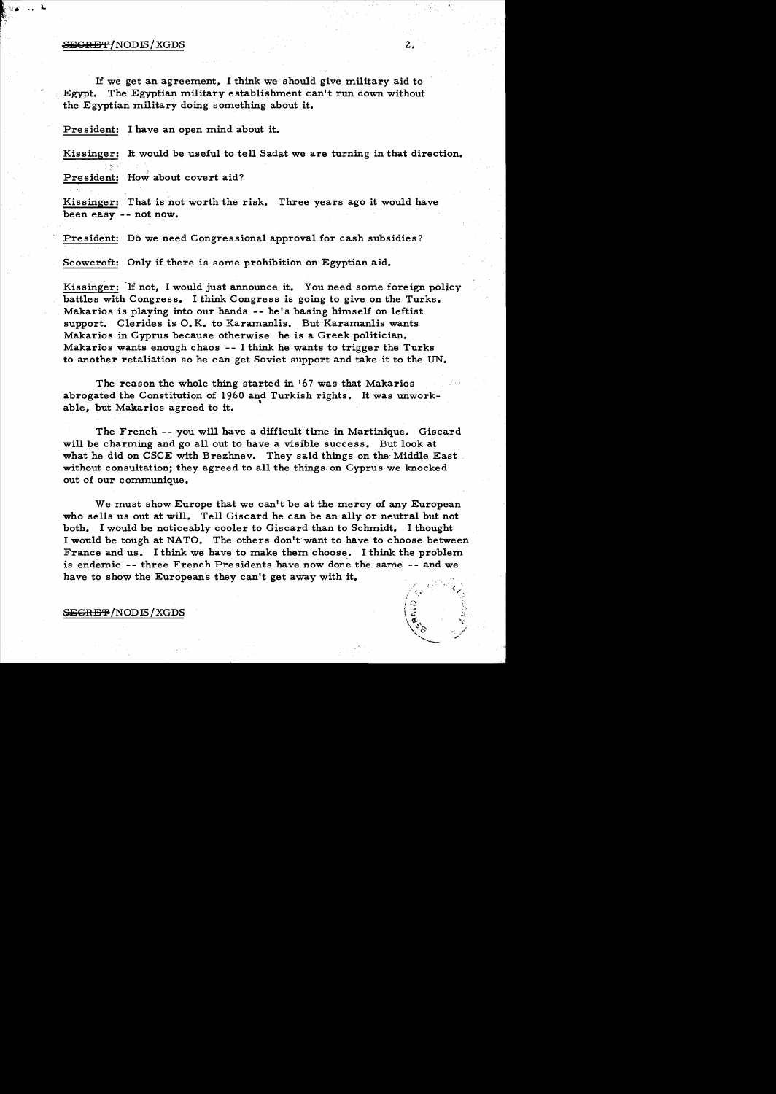#### $S$  b  $S$   $\rightarrow$   $S$   $\rightarrow$   $S$   $\rightarrow$   $S$   $\rightarrow$   $S$   $\rightarrow$   $S$   $\rightarrow$   $S$   $\rightarrow$   $S$   $\rightarrow$   $S$   $\rightarrow$   $S$   $\rightarrow$   $S$   $\rightarrow$   $S$   $\rightarrow$   $S$   $\rightarrow$   $S$   $\rightarrow$   $S$   $\rightarrow$   $S$   $\rightarrow$   $S$   $\rightarrow$   $S$   $\rightarrow$   $S$   $\rightarrow$   $S$   $\rightarrow$   $S$   $\rightarrow$   $S$   $\rightarrow$   $S$   $\rightarrow$   $S$   $\rightarrow$

·, <sup>~</sup>

If we get an agreement, I think we should give military aid to Egypt. The Egyptian military establishment can't run down without the Egyptian military doing something about it.

President: I have an open mind about it.

Kissinger: It would be useful to tell Sadat we are turning in that direction.

President: How about covert aid?

Kissinger: That is not worth the risk. Three years ago it would have been easy -- not now.

President: Do we need Congressional approval for cash subsidies?

Scowcroft: Only if there is some prohibition on Egyptian aid.

Kissinger: 'If not, I would just announce it. You need some foreign policy battles with Congress. I think Congress is going to give on the Turks. Makarios is playing into our hands -- he's basing himself on leftist support. Clerides is O. K. to Karamanlis. But Karamanlis wants Makarios in Cyprus because otherwise he is a Greek politician. Makarios wants enough chaos  $- - 1$  think he wants to trigger the Turks to another retaliation so he can get Soviet support and take it to the UN.

The reason the whole thing started in '67 was that Makarios abrogated the Constitution of 1960 and Turkish rights. It was unwork<br>able, but Makarios agreed to it. able, but Makarios agreed to it.

The French -- you will have a difficult time in Martinique. Giscard will be charming and go all out to have a visible success. But look at what he did on CSCE with Brezhnev. They said things on the Middle East. without consultation; they agreed to all the things on Cyprus we knocked out of our communique.

We must show Europe that we can't be at the mercy of any European who sells us out at will. Tell Giscard he can be an ally or neutral but not both. I would be noticeably cooler to Giscard than to Schmidt. I thought I would be tough at NATO. The others don't'want to have to choose between France and us. I think we have to make them choose. I think the problem is endemic -- three French Presidents have now done the same -- and we have to show the Europeans they can't get away with it.

SEGRE<sup>+</sup>/NODES/XGDS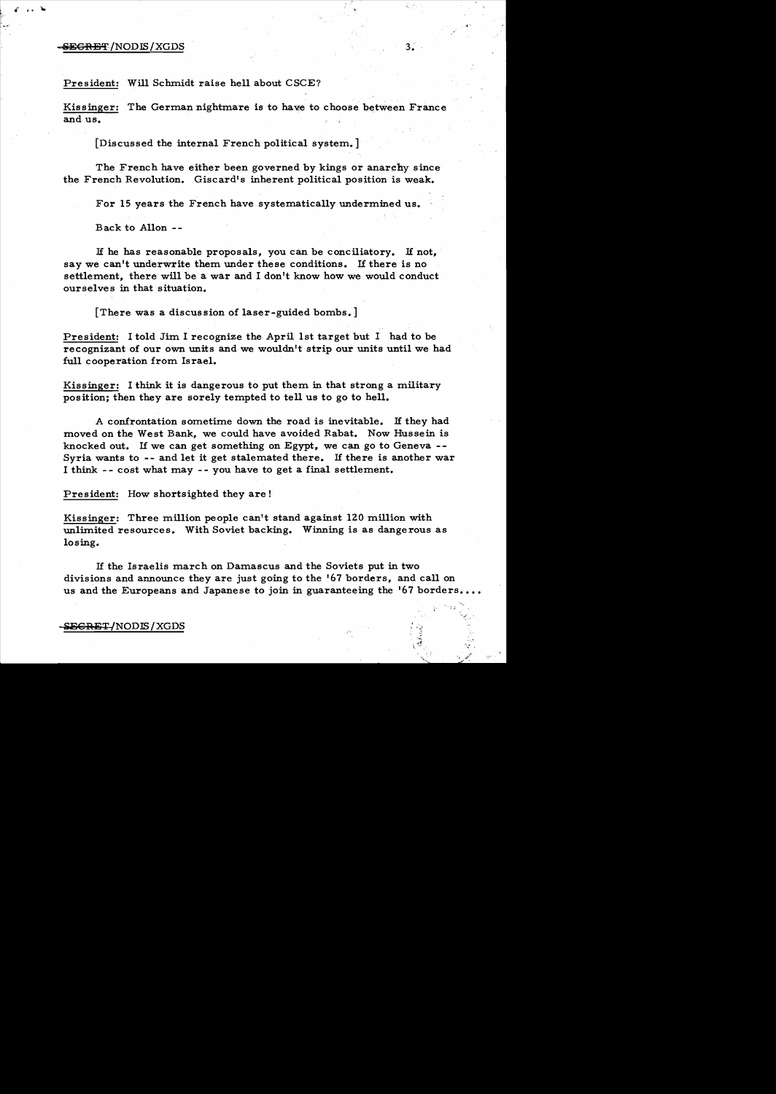### $-$ <del>SECRET</del>/NODIS/XGDS  $-$  3.

President: Will Schmidt raise hell about CSCE?

Kissinger: The German nightmare is to have to choose between France and us.

[Discussed the internal French political system.]

The French have either been governed by kings or anarchy since the French Revolution. Giscard's inherent political position is weak.

For 15 years the French have systematically undermined us.

Back to A110n -

H he has reasonable proposals, you can be conciliatory. H not, say we can't underwrite them under these conditions. If there is no settlement, there will be a war and I don't know how we would conduct ourselves in that situation.

[There was a discussion of laser-guided bombs.]

President: I told Jim I recognize the April 1st target but I had to be recognizant of our own units and we wouldn't strip our units until we had full cooperation from Israel.

Kissinger: I think it is dangerous to put them in that strong a military position; then they are sorely tempted to tell us to go to hell.

A confrontation sometime down the road is inevitable. H they had moved on the West Bank, we could have avoided Rabat. Now Hussein is knocked out. If we can get something on Egypt, we can go to Geneva  $-$ -Syria wants to -- and let it get stalemated there. If there is another war I think -- cost what may -- you have to get a final settlement.

President: How shortsighted they are!

Kissinger: Three million people can't stand against 120 million with unlimited resources. With Soviet backing. Winning is as dangerous as losing.

H the braelis march on Damascus and the Soviets put in two divisions and announce they are just going to the '67 borders, and ca11 on us and the Europeans and Japanese to join in guaranteeing the '67 borders.

> $, \cdot \cdot$ ".....

 $\sqrt{3}$  ,  $\qquad \qquad \gamma^*$ 

#### $-$ <del>ECRET/</del>NODIS/XGDS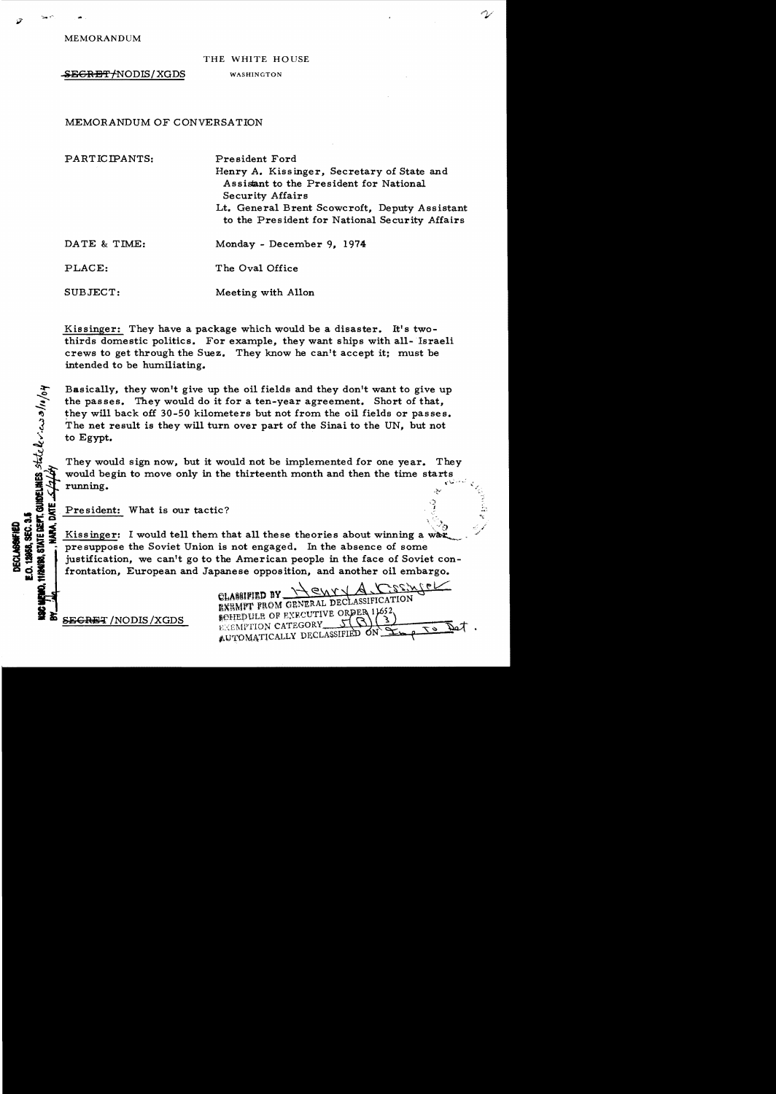MEMORANDUM

## THE WHITE HOUSE

SEGRET/NODIS/XGDS WASHINGTON

# MEMORANDUM OF CONVERSATION

| PARTICIPANTS: | President Ford<br>Henry A. Kissinger, Secretary of State and<br>Assistant to the President for National<br>Security Affairs<br>Lt. General Brent Scowcroft, Deputy Assistant<br>to the President for National Security Affairs |
|---------------|--------------------------------------------------------------------------------------------------------------------------------------------------------------------------------------------------------------------------------|
| DATE & TIME:  | Monday - December 9, 1974                                                                                                                                                                                                      |
| PLACE:        | The Oval Office                                                                                                                                                                                                                |
| SUBJECT:      | Meeting with Allon                                                                                                                                                                                                             |

Kissinger: They have a package which would bea disaster. It's twothirds domestic politics. For example, they want ships with all-Israeli crews to get through the Suez. They know he can't accept it; must be intended to be humiliating.

Basically, they won't give up the oil fields and they don't want to give up<br>the passes. They would do it for a ten-year agreement. Short of that,<br>they will back off 30-50 kilometers but not from the oil fields or passes.<br>T The net result is they will turn over part of the Sinai to the UN, but not to Egypt.

They would sign now, but it would not be implemented for one year. They would begin to move only in the thirteenth month and then the time starts  $\mathbb{E} \mathcal{F}$  running. **I..,**  ,;'

A<br>E. President: What is our tactic?<br>Kissinger: I would tell them the For  $\frac{3}{2}$  running.<br>  $\frac{3}{2}$   $\frac{3}{2}$   $\frac{3}{2}$   $\frac{3}{2}$   $\frac{3}{2}$   $\frac{3}{2}$   $\frac{3}{2}$   $\frac{3}{2}$   $\frac{3}{2}$   $\frac{3}{2}$   $\frac{3}{2}$   $\frac{3}{2}$   $\frac{3}{2}$   $\frac{3}{2}$   $\frac{3}{2}$   $\frac{3}{2}$   $\frac{3}{2}$   $\frac{3}{2}$   $\frac{3}{2}$   $\frac{3}{2$  $\frac{1}{2}$   $\frac{1}{2}$   $\frac{1}{2}$   $\frac{1}{2}$   $\frac{1}{2}$   $\frac{1}{2}$   $\frac{1}{2}$   $\frac{1}{2}$   $\frac{1}{2}$   $\frac{1}{2}$   $\frac{1}{2}$   $\frac{1}{2}$   $\frac{1}{2}$   $\frac{1}{2}$   $\frac{1}{2}$   $\frac{1}{2}$   $\frac{1}{2}$   $\frac{1}{2}$   $\frac{1}{2}$   $\frac{1}{2}$   $\frac{1}{2}$   $\frac{1}{2}$  justification, we can't go to the American people in the face of Soviet con frontation, European and Japanese opposition, and another oil embargo.

eLMfU'IID BY \\~\t\'f -J A ,C~~~0s <sup>~</sup>k;::' ~XRMvr '!tOM GENERAL DEcLASSIFICATION

r

.<br>المحمد البرابر

SECRET /NODIS /XGDS SECRET /NODIS / SOLUTIVE OF FIXECUTIVE ORDER 11652 AUTOMATICALLY DECLASSIFIED ON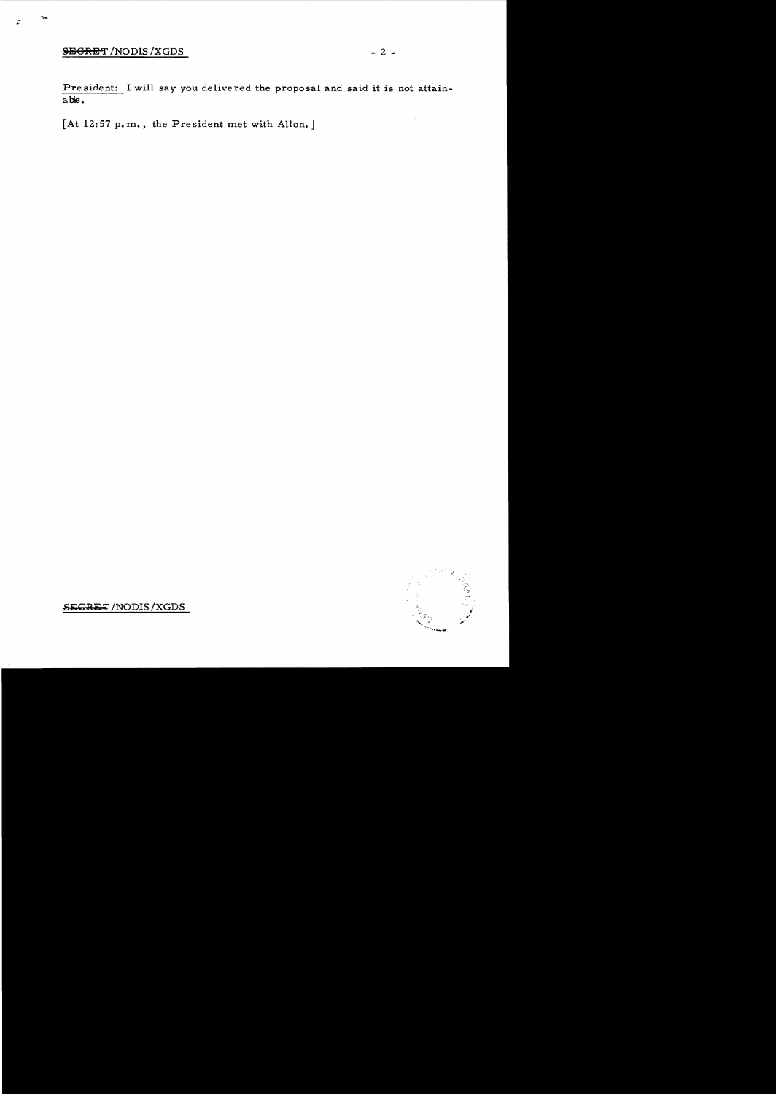# SEGRET/NODIS/XGDS - 2 -

President: I will say you delivered the proposal and said it is not attainable.

 $[At 12:57 p.m., the President met with Allon.]$ 

 $\ddot{\phantom{a}}$ 



**SECRET** /NODIS/XGDS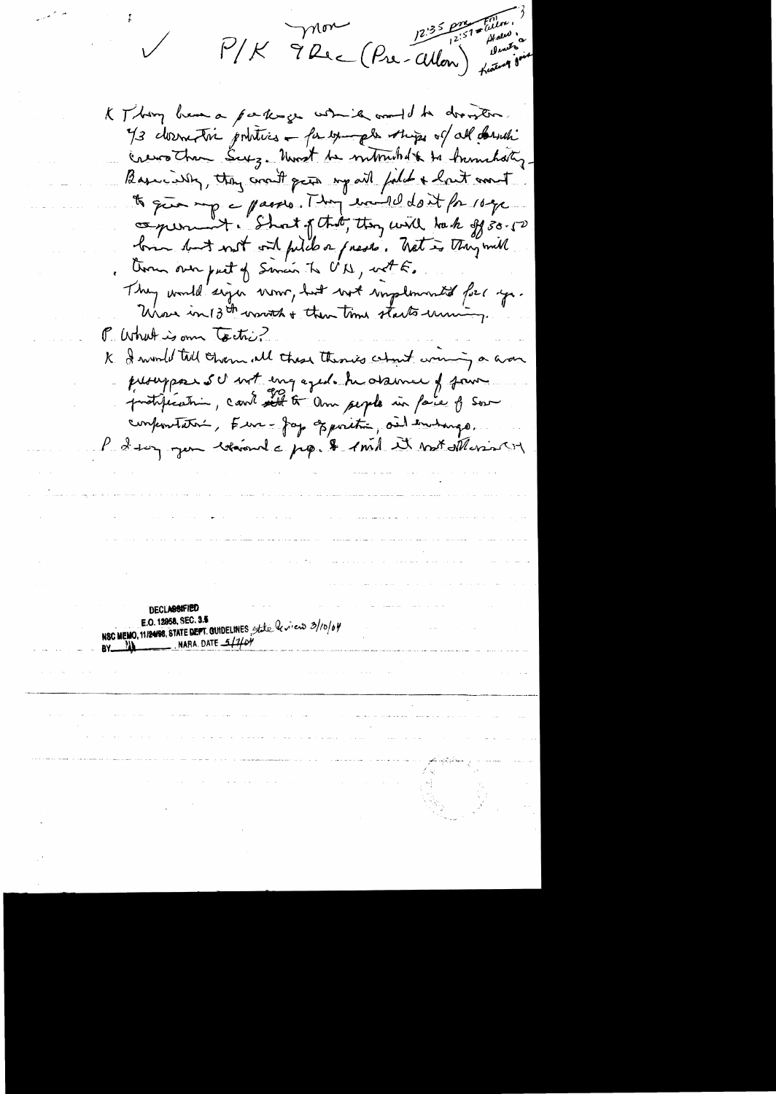P/K 9 Rec (Pre-Allon) Katurine

K Thing have a partinge while would be drownton. 73 dormatic pointies - for youngles ships of all desich crews than Surg. Unst be nutrached to humbaty. Basically, they crown paint point falch + hast and to que mp a passes. They excited don't for 10 ge comerciant. Short of that, they will back off 30.50 brin but not out filid or presse. That is they will them over past of Smain To UN, with They would sign vous, but wet implemented for you. Whose in 13th worth + then time starts uning. P. What is own tectic? K I would tell chem all these theories chart woming a war prouppour su not ingeged. In assumer of four protification, coule aut to ann people in face of som conferentative, Eure-Jap Epocitie, and embarge. P 2 sur gen bénende pp. & 1 mil 23 mit Mesis St **DECLASSIFIED** E.O. 12958, SEC. 3.5 NSC MEMO, 11/24/98, STATE DEPT. CUIDELINES, State levieux 3/10/04  $-$ . NARA. DATE  $-110$  $RY \rightarrow W$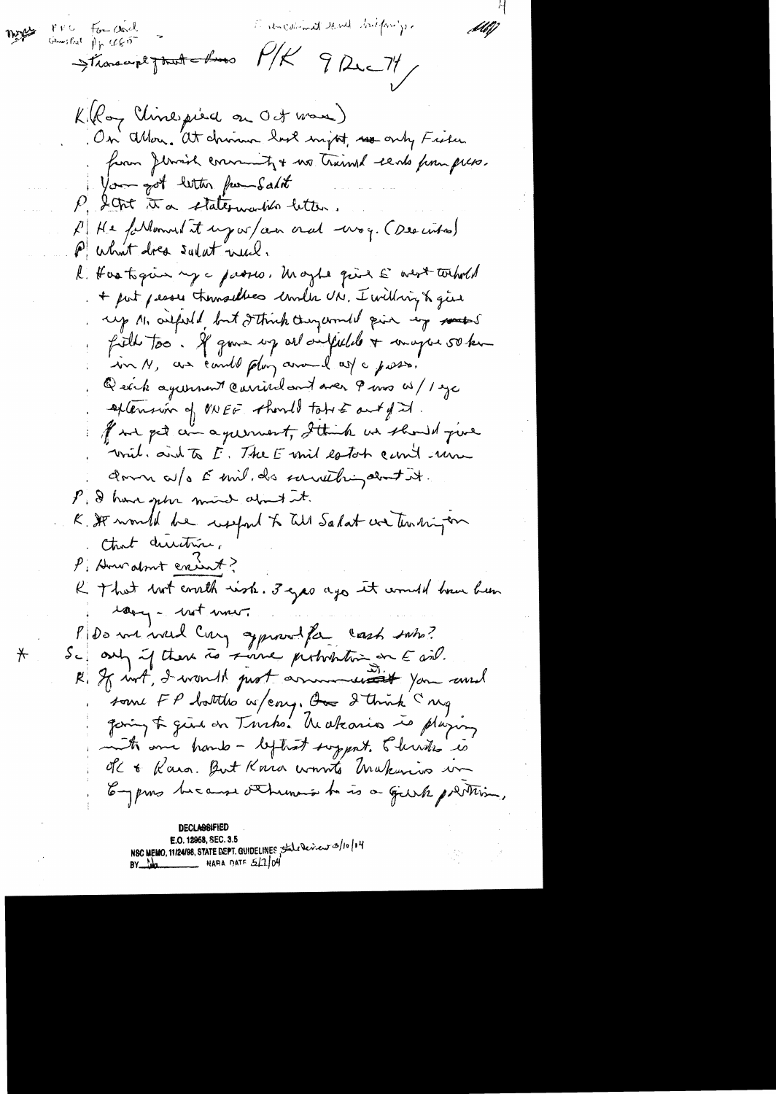Fine considered bill backforings PPC For concl :46J)  $w_{\tilde{z}}$ General Pp 465 Stranger pour les MK 9 Rue 71 Killoy Uinepiece on Oct was) On allow. at chinnen have myst, we only Fisher from Jernich convenity + no trimed sento pour press. You got letter fur Salit P, Stat it a statemention letter. P.H.e. forthomored it urg or an oral way. (Described) P what does sulat need. R. Hostigue my a passes, Maybe quis E west torhold + put pease themselves counter UN. I willing & give up 11, orifordd but I think they would give my motos filled too. If gove up all defelled a composition in N, as cante plun anoual as a posso. Quick againment carried and near 9 mm w/1 ye extension of NOEE should take East of I. of we get an agreement, I think we should give wint, and to I. The E unit estate can't une down a/o Emil. de sarrething about it. P. I have gette mund about it. K. It would be welfed to till Salat we ten hingen that durition. P. Howalnut creat? R That but courth wish. 3 yes ago it would been been large wit mon P De me viert Cary opposed for cash subs?<br>Se any if there is served probabilities on E ail. R. If wit, I want prot arrunder it you would some FP bottles as / eng. On I think I mg gaing & give on Turks. Wakario is playing at one hand - leftest support. 5 levels is OK & Kara. But Kara wonts Makinis un Empres because othermos to is a guirk protein, DECLA684F E.O. 12958, SEC. 3.5 NSC MEMO, 11/24/98, STATE DEPT. GUIDELINES State Deview 3/10/14 BY  $M$ 

 $\bigstar$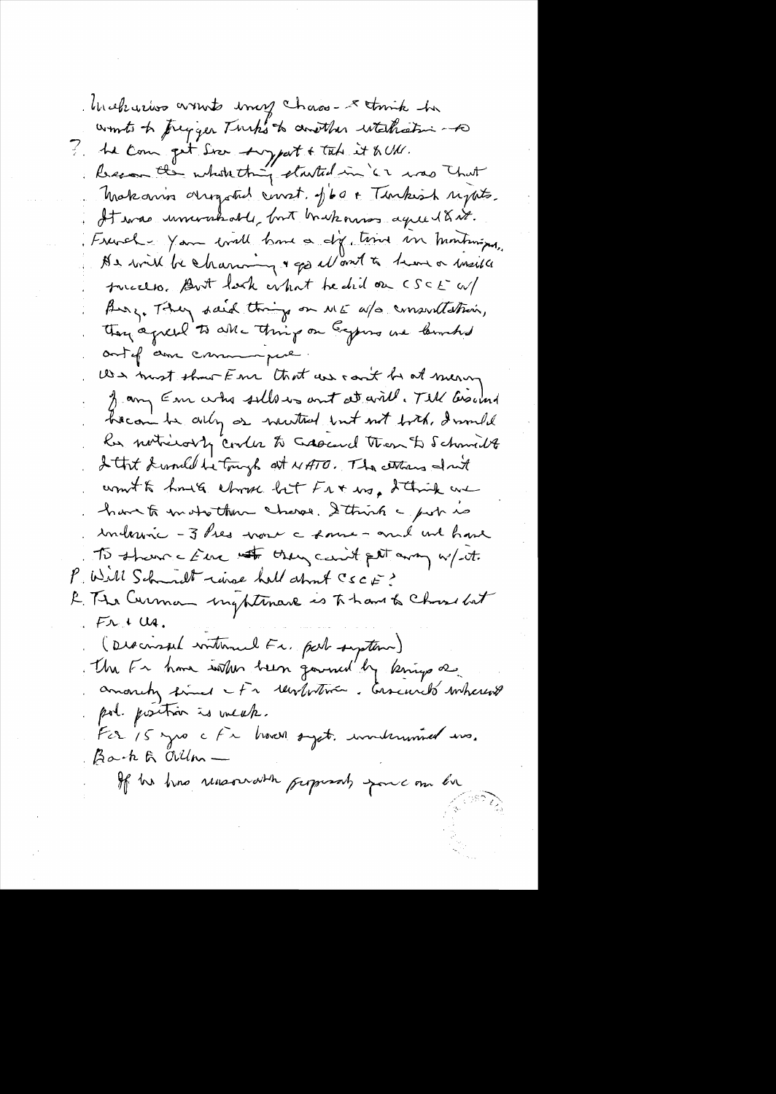blicklisters wounts image chaos- a tomate he wonts to pregger Turk's to consther whetheating to he come get See typert & take it & UM. Recon the whole thing started in '62 was That Makanin origoted const. Jba + Turkish rights. It was ununkable, but brukning agreed & it. Franch - Yam will have a dig time in huntings, As will be charming & go allowed to theme or meille tucceso. But lock what he did on CSCE W/ Burg, They said things on ME a/s consorted their, They agreed to all - thing on Eggers we lambed outof am came pue. We must show Fre that we can't be at mean from Em who sellows ant at will. Till besond hecom be ally as newthat but not both, I would les noticesty couler to crossed then to schmidt I that dressed he tough at NATO. The centres don't won't to hours shows but Fr & ws, I think we have to instruct the charge. I think a post is interime - 3 hes work a some - and we have To share c Eur not they can't get away w/ it. P. Will Schmidt rive half about CSCE? E. The Curman inghtenare is To have to Choose but  $FTU$ (Discussed internal Fr, part suption) the Fr have intendent gavened by knings as pol. position is weak. Fcr 15 yrs c Fx brown syst. wonderwined ms. Back & allon. If he has rensound the proposals force on bu